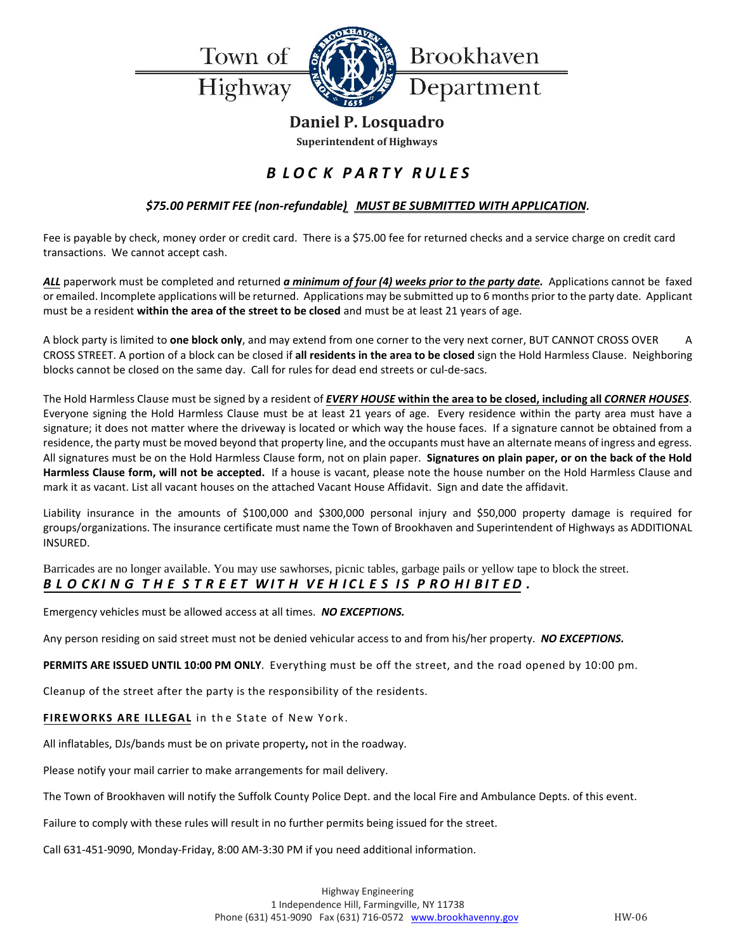Town of

Highway



## **Daniel P. Losquadro**

**Superintendent of Highways**

## *B LOC K PARTY RULES*

#### *\$75.00 PERMIT FEE (non-refundable) MUST BE SUBMITTED WITH APPLICATION.*

Fee is payable by check, money order or credit card. There is a \$75.00 fee for returned checks and a service charge on credit card transactions. We cannot accept cash.

*ALL* paperwork must be completed and returned *a minimum of four (4) weeks prior to the party date.* Applications cannot be faxed or emailed. Incomplete applications will be returned. Applications may be submitted up to 6 months prior to the party date. Applicant must be a resident **within the area of the street to be closed** and must be at least 21 years of age.

A block party is limited to **one block only**, and may extend from one corner to the very next corner, BUT CANNOT CROSS OVER A CROSS STREET. A portion of a block can be closed if **all residents in the area to be closed** sign the Hold Harmless Clause. Neighboring blocks cannot be closed on the same day. Call for rules for dead end streets or cul-de-sacs.

The Hold Harmless Clause must be signed by a resident of *EVERY HOUSE* **within the area to be closed, including all** *CORNER HOUSES*. Everyone signing the Hold Harmless Clause must be at least 21 years of age. Every residence within the party area must have a signature; it does not matter where the driveway is located or which way the house faces. If a signature cannot be obtained from a residence, the party must be moved beyond that property line, and the occupants must have an alternate means of ingress and egress. All signatures must be on the Hold Harmless Clause form, not on plain paper. **Signatures on plain paper, or on the back of the Hold Harmless Clause form, will not be accepted.** If a house is vacant, please note the house number on the Hold Harmless Clause and mark it as vacant. List all vacant houses on the attached Vacant House Affidavit. Sign and date the affidavit.

Liability insurance in the amounts of \$100,000 and \$300,000 personal injury and \$50,000 property damage is required for groups/organizations. The insurance certificate must name the Town of Brookhaven and Superintendent of Highways as ADDITIONAL INSURED.

Barricades are no longer available. You may use sawhorses, picnic tables, garbage pails or yellow tape to block the street. BLOCKING THE STREET WITH VEHICLES IS PROHIBITED.

Emergency vehicles must be allowed access at all times. *NO EXCEPTIONS.*

Any person residing on said street must not be denied vehicular access to and from his/her property. *NO EXCEPTIONS.*

**PERMITS ARE ISSUED UNTIL 10:00 PM ONLY**. Everything must be off the street, and the road opened by 10:00 pm.

Cleanup of the street after the party is the responsibility of the residents.

FIREWORKS ARE ILLEGAL in the State of New York.

All inflatables, DJs/bands must be on private property**,** not in the roadway.

Please notify your mail carrier to make arrangements for mail delivery.

The Town of Brookhaven will notify the Suffolk County Police Dept. and the local Fire and Ambulance Depts. of this event.

Failure to comply with these rules will result in no further permits being issued for the street.

Call 631-451-9090, Monday-Friday, 8:00 AM-3:30 PM if you need additional information.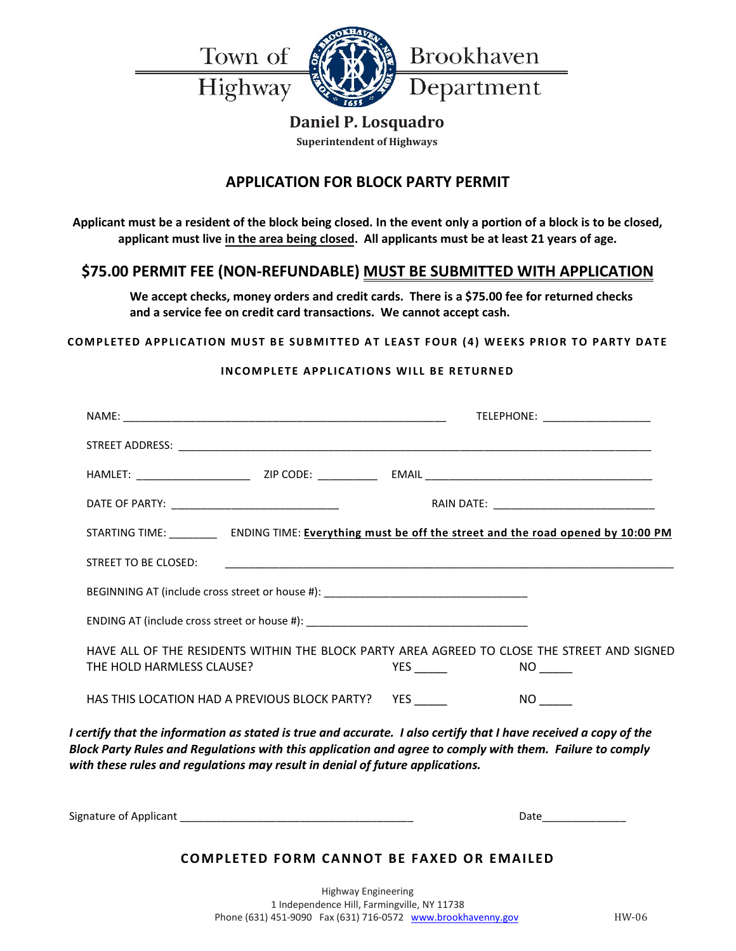Town of

Highway



### **Daniel P. Losquadro**

**Superintendent of Highways**

## **APPLICATION FOR BLOCK PARTY PERMIT**

**Applicant must be a resident of the block being closed. In the event only a portion of a block is to be closed, applicant must live in the area being closed. All applicants must be at least 21 years of age.** 

## **\$75.00 PERMIT FEE (NON-REFUNDABLE) MUST BE SUBMITTED WITH APPLICATION**

**We accept checks, money orders and credit cards. There is a \$75.00 fee for returned checks and a service fee on credit card transactions. We cannot accept cash.**

#### **COMPLETED APPLICATION MUST BE SUBMITTED AT LEAST FOUR (4) WEEKS PRIOR TO PARTY DATE**

#### **INCOMPLETE APPLICATIONS WILL BE RETURNED**

|                           |                                                                                  |                       | TELEPHONE: ____________________                                                                                       |
|---------------------------|----------------------------------------------------------------------------------|-----------------------|-----------------------------------------------------------------------------------------------------------------------|
|                           |                                                                                  |                       |                                                                                                                       |
|                           |                                                                                  |                       |                                                                                                                       |
|                           |                                                                                  |                       | RAIN DATE: __________________________________                                                                         |
|                           |                                                                                  |                       | STARTING TIME: ENDING TIME: Everything must be off the street and the road opened by 10:00 PM                         |
| STREET TO BE CLOSED:      |                                                                                  |                       |                                                                                                                       |
|                           | BEGINNING AT (include cross street or house #): ________________________________ |                       |                                                                                                                       |
|                           |                                                                                  |                       |                                                                                                                       |
| THE HOLD HARMLESS CLAUSE? |                                                                                  | <b>YES Example 20</b> | HAVE ALL OF THE RESIDENTS WITHIN THE BLOCK PARTY AREA AGREED TO CLOSE THE STREET AND SIGNED<br>$NO$ <sub>______</sub> |
|                           | HAS THIS LOCATION HAD A PREVIOUS BLOCK PARTY?                                    | <b>YES</b>            |                                                                                                                       |
|                           |                                                                                  |                       |                                                                                                                       |

*I certify that the information as stated is true and accurate. I also certify that I have received a copy of the Block Party Rules and Regulations with this application and agree to comply with them. Failure to comply with these rules and regulations may result in denial of future applications.*

Signature of Applicant **Example 20** Signature of Applicant

#### **COMPLETED FORM CANNOT BE FAXED OR EMAILED**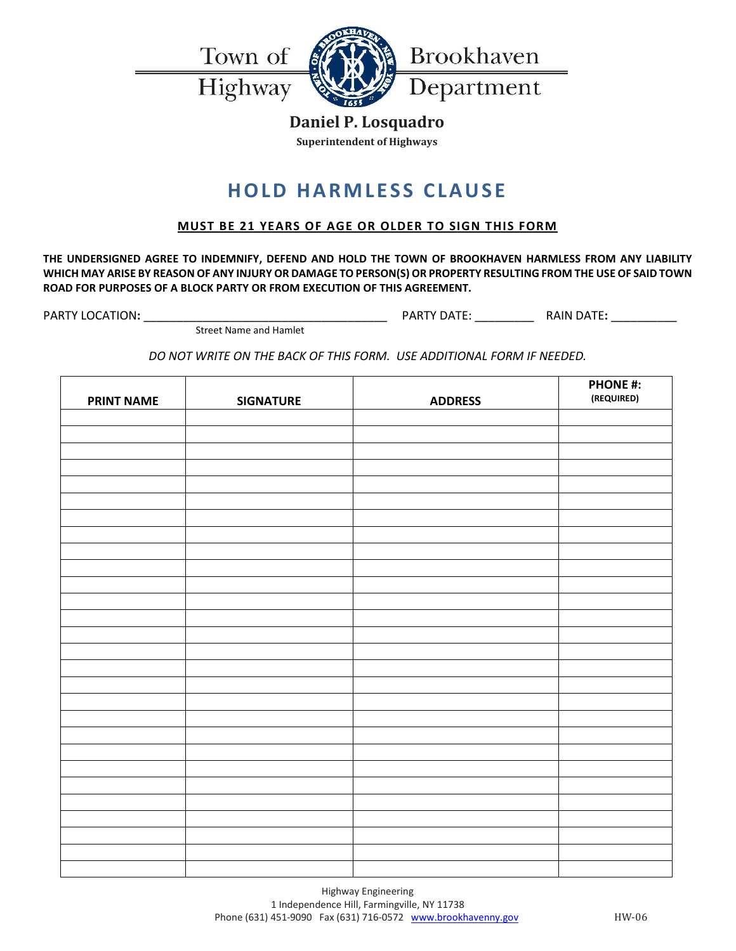

Highway



## **Daniel P. Losquadro**

**Superintendent of Highways**

# **HOLD HARMLESS CLAUSE**

#### **MUST BE 21 YEARS OF AGE OR OLDER TO SIGN THIS FORM**

**THE UNDERSIGNED AGREE TO INDEMNIFY, DEFEND AND HOLD THE TOWN OF BROOKHAVEN HARMLESS FROM ANY LIABILITY WHICH MAY ARISE BY REASON OF ANY INJURY OR DAMAGE TO PERSON(S) OR PROPERTY RESULTING FROM THE USE OF SAID TOWN ROAD FOR PURPOSES OF A BLOCK PARTY OR FROM EXECUTION OF THIS AGREEMENT.**

PARTY LOCATION**:** \_\_\_\_\_\_\_\_\_\_\_\_\_\_\_\_\_\_\_\_\_\_\_\_\_\_\_\_\_\_\_\_\_\_\_\_\_ PARTY DATE: \_\_\_\_\_\_\_\_\_ RAIN DATE**:** \_\_\_\_\_\_\_\_\_\_

Street Name and Hamlet

*DO NOT WRITE ON THE BACK OF THIS FORM. USE ADDITIONAL FORM IF NEEDED.*

| <b>PRINT NAME</b> | <b>SIGNATURE</b> | <b>ADDRESS</b> | <b>PHONE #:</b><br>(REQUIRED) |
|-------------------|------------------|----------------|-------------------------------|
|                   |                  |                |                               |
|                   |                  |                |                               |
|                   |                  |                |                               |
|                   |                  |                |                               |
|                   |                  |                |                               |
|                   |                  |                |                               |
|                   |                  |                |                               |
|                   |                  |                |                               |
|                   |                  |                |                               |
|                   |                  |                |                               |
|                   |                  |                |                               |
|                   |                  |                |                               |
|                   |                  |                |                               |
|                   |                  |                |                               |
|                   |                  |                |                               |
|                   |                  |                |                               |
|                   |                  |                |                               |
|                   |                  |                |                               |
|                   |                  |                |                               |
|                   |                  |                |                               |
|                   |                  |                |                               |
|                   |                  |                |                               |
|                   |                  |                |                               |
|                   |                  |                |                               |
|                   |                  |                |                               |
|                   |                  |                |                               |
|                   |                  |                |                               |
|                   |                  |                |                               |